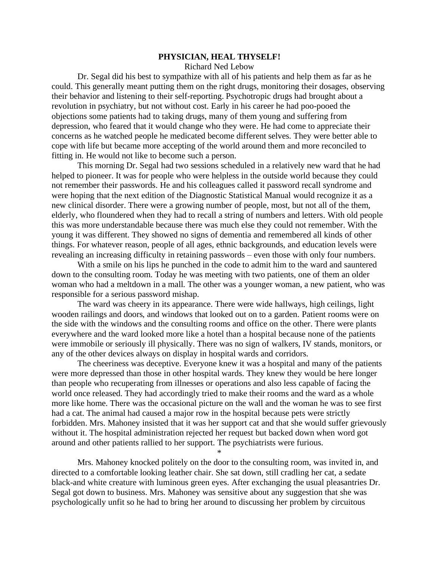## **PHYSICIAN, HEAL THYSELF!**

Richard Ned Lebow

Dr. Segal did his best to sympathize with all of his patients and help them as far as he could. This generally meant putting them on the right drugs, monitoring their dosages, observing their behavior and listening to their self-reporting. Psychotropic drugs had brought about a revolution in psychiatry, but not without cost. Early in his career he had poo-pooed the objections some patients had to taking drugs, many of them young and suffering from depression, who feared that it would change who they were. He had come to appreciate their concerns as he watched people he medicated become different selves. They were better able to cope with life but became more accepting of the world around them and more reconciled to fitting in. He would not like to become such a person.

This morning Dr. Segal had two sessions scheduled in a relatively new ward that he had helped to pioneer. It was for people who were helpless in the outside world because they could not remember their passwords. He and his colleagues called it password recall syndrome and were hoping that the next edition of the Diagnostic Statistical Manual would recognize it as a new clinical disorder. There were a growing number of people, most, but not all of the them, elderly, who floundered when they had to recall a string of numbers and letters. With old people this was more understandable because there was much else they could not remember. With the young it was different. They showed no signs of dementia and remembered all kinds of other things. For whatever reason, people of all ages, ethnic backgrounds, and education levels were revealing an increasing difficulty in retaining passwords – even those with only four numbers.

With a smile on his lips he punched in the code to admit him to the ward and sauntered down to the consulting room. Today he was meeting with two patients, one of them an older woman who had a meltdown in a mall. The other was a younger woman, a new patient, who was responsible for a serious password mishap.

The ward was cheery in its appearance. There were wide hallways, high ceilings, light wooden railings and doors, and windows that looked out on to a garden. Patient rooms were on the side with the windows and the consulting rooms and office on the other. There were plants everywhere and the ward looked more like a hotel than a hospital because none of the patients were immobile or seriously ill physically. There was no sign of walkers, IV stands, monitors, or any of the other devices always on display in hospital wards and corridors.

The cheeriness was deceptive. Everyone knew it was a hospital and many of the patients were more depressed than those in other hospital wards. They knew they would be here longer than people who recuperating from illnesses or operations and also less capable of facing the world once released. They had accordingly tried to make their rooms and the ward as a whole more like home. There was the occasional picture on the wall and the woman he was to see first had a cat. The animal had caused a major row in the hospital because pets were strictly forbidden. Mrs. Mahoney insisted that it was her support cat and that she would suffer grievously without it. The hospital administration rejected her request but backed down when word got around and other patients rallied to her support. The psychiatrists were furious.

\*

Mrs. Mahoney knocked politely on the door to the consulting room, was invited in, and directed to a comfortable looking leather chair. She sat down, still cradling her cat, a sedate black-and white creature with luminous green eyes. After exchanging the usual pleasantries Dr. Segal got down to business. Mrs. Mahoney was sensitive about any suggestion that she was psychologically unfit so he had to bring her around to discussing her problem by circuitous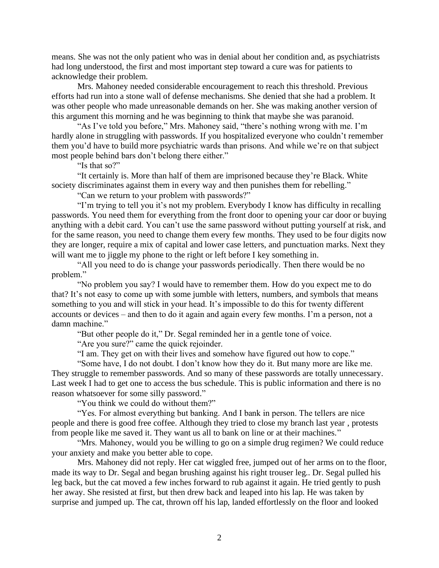means. She was not the only patient who was in denial about her condition and, as psychiatrists had long understood, the first and most important step toward a cure was for patients to acknowledge their problem.

Mrs. Mahoney needed considerable encouragement to reach this threshold. Previous efforts had run into a stone wall of defense mechanisms. She denied that she had a problem. It was other people who made unreasonable demands on her. She was making another version of this argument this morning and he was beginning to think that maybe she was paranoid.

"As I've told you before," Mrs. Mahoney said, "there's nothing wrong with me. I'm hardly alone in struggling with passwords. If you hospitalized everyone who couldn't remember them you'd have to build more psychiatric wards than prisons. And while we're on that subject most people behind bars don't belong there either."

"Is that so?"

"It certainly is. More than half of them are imprisoned because they're Black. White society discriminates against them in every way and then punishes them for rebelling."

"Can we return to your problem with passwords?"

"I'm trying to tell you it's not my problem. Everybody I know has difficulty in recalling passwords. You need them for everything from the front door to opening your car door or buying anything with a debit card. You can't use the same password without putting yourself at risk, and for the same reason, you need to change them every few months. They used to be four digits now they are longer, require a mix of capital and lower case letters, and punctuation marks. Next they will want me to jiggle my phone to the right or left before I key something in.

"All you need to do is change your passwords periodically. Then there would be no problem."

"No problem you say? I would have to remember them. How do you expect me to do that? It's not easy to come up with some jumble with letters, numbers, and symbols that means something to you and will stick in your head. It's impossible to do this for twenty different accounts or devices – and then to do it again and again every few months. I'm a person, not a damn machine."

"But other people do it," Dr. Segal reminded her in a gentle tone of voice.

"Are you sure?" came the quick rejoinder.

"I am. They get on with their lives and somehow have figured out how to cope."

"Some have, I do not doubt. I don't know how they do it. But many more are like me. They struggle to remember passwords. And so many of these passwords are totally unnecessary. Last week I had to get one to access the bus schedule. This is public information and there is no reason whatsoever for some silly password."

"You think we could do without them?"

"Yes. For almost everything but banking. And I bank in person. The tellers are nice people and there is good free coffee. Although they tried to close my branch last year , protests from people like me saved it. They want us all to bank on line or at their machines."

"Mrs. Mahoney, would you be willing to go on a simple drug regimen? We could reduce your anxiety and make you better able to cope.

Mrs. Mahoney did not reply. Her cat wiggled free, jumped out of her arms on to the floor, made its way to Dr. Segal and began brushing against his right trouser leg.. Dr. Segal pulled his leg back, but the cat moved a few inches forward to rub against it again. He tried gently to push her away. She resisted at first, but then drew back and leaped into his lap. He was taken by surprise and jumped up. The cat, thrown off his lap, landed effortlessly on the floor and looked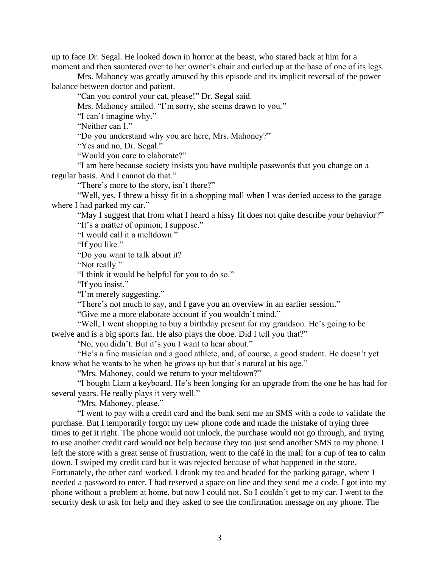up to face Dr. Segal. He looked down in horror at the beast, who stared back at him for a moment and then sauntered over to her owner's chair and curled up at the base of one of its legs.

Mrs. Mahoney was greatly amused by this episode and its implicit reversal of the power balance between doctor and patient.

"Can you control your cat, please!" Dr. Segal said.

Mrs. Mahoney smiled. "I'm sorry, she seems drawn to you."

"I can't imagine why."

"Neither can I."

"Do you understand why you are here, Mrs. Mahoney?"

"Yes and no, Dr. Segal."

"Would you care to elaborate?"

"I am here because society insists you have multiple passwords that you change on a regular basis. And I cannot do that."

"There's more to the story, isn't there?"

"Well, yes. I threw a hissy fit in a shopping mall when I was denied access to the garage where I had parked my car."

"May I suggest that from what I heard a hissy fit does not quite describe your behavior?" "It's a matter of opinion, I suppose."

"I would call it a meltdown."

"If you like."

"Do you want to talk about it?

"Not really."

"I think it would be helpful for you to do so."

"If you insist."

"I'm merely suggesting."

"There's not much to say, and I gave you an overview in an earlier session."

"Give me a more elaborate account if you wouldn't mind."

"Well, I went shopping to buy a birthday present for my grandson. He's going to be twelve and is a big sports fan. He also plays the oboe. Did I tell you that?"

'No, you didn't. But it's you I want to hear about."

"He's a fine musician and a good athlete, and, of course, a good student. He doesn't yet know what he wants to be when he grows up but that's natural at his age."

"Mrs. Mahoney, could we return to your meltdown?"

"I bought Liam a keyboard. He's been longing for an upgrade from the one he has had for several years. He really plays it very well."

"Mrs. Mahoney, please."

"I went to pay with a credit card and the bank sent me an SMS with a code to validate the purchase. But I temporarily forgot my new phone code and made the mistake of trying three times to get it right. The phone would not unlock, the purchase would not go through, and trying to use another credit card would not help because they too just send another SMS to my phone. I left the store with a great sense of frustration, went to the café in the mall for a cup of tea to calm down. I swiped my credit card but it was rejected because of what happened in the store.

Fortunately, the other card worked. I drank my tea and headed for the parking garage, where I needed a password to enter. I had reserved a space on line and they send me a code. I got into my phone without a problem at home, but now I could not. So I couldn't get to my car. I went to the security desk to ask for help and they asked to see the confirmation message on my phone. The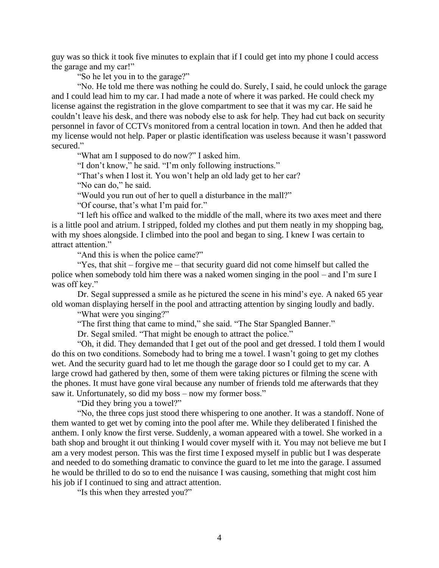guy was so thick it took five minutes to explain that if I could get into my phone I could access the garage and my car!"

"So he let you in to the garage?"

"No. He told me there was nothing he could do. Surely, I said, he could unlock the garage and I could lead him to my car. I had made a note of where it was parked. He could check my license against the registration in the glove compartment to see that it was my car. He said he couldn't leave his desk, and there was nobody else to ask for help. They had cut back on security personnel in favor of CCTVs monitored from a central location in town. And then he added that my license would not help. Paper or plastic identification was useless because it wasn't password secured."

"What am I supposed to do now?" I asked him.

"I don't know," he said. "I'm only following instructions."

"That's when I lost it. You won't help an old lady get to her car?

"No can do," he said.

"Would you run out of her to quell a disturbance in the mall?"

"Of course, that's what I'm paid for."

"I left his office and walked to the middle of the mall, where its two axes meet and there is a little pool and atrium. I stripped, folded my clothes and put them neatly in my shopping bag, with my shoes alongside. I climbed into the pool and began to sing. I knew I was certain to attract attention."

"And this is when the police came?"

"Yes, that shit – forgive me – that security guard did not come himself but called the police when somebody told him there was a naked women singing in the pool – and I'm sure I was off key."

Dr. Segal suppressed a smile as he pictured the scene in his mind's eye. A naked 65 year old woman displaying herself in the pool and attracting attention by singing loudly and badly.

"What were you singing?"

"The first thing that came to mind," she said. "The Star Spangled Banner."

Dr. Segal smiled. "That might be enough to attract the police."

"Oh, it did. They demanded that I get out of the pool and get dressed. I told them I would do this on two conditions. Somebody had to bring me a towel. I wasn't going to get my clothes wet. And the security guard had to let me though the garage door so I could get to my car. A large crowd had gathered by then, some of them were taking pictures or filming the scene with the phones. It must have gone viral because any number of friends told me afterwards that they saw it. Unfortunately, so did my boss – now my former boss."

"Did they bring you a towel?"

"No, the three cops just stood there whispering to one another. It was a standoff. None of them wanted to get wet by coming into the pool after me. While they deliberated I finished the anthem. I only know the first verse. Suddenly, a woman appeared with a towel. She worked in a bath shop and brought it out thinking I would cover myself with it. You may not believe me but I am a very modest person. This was the first time I exposed myself in public but I was desperate and needed to do something dramatic to convince the guard to let me into the garage. I assumed he would be thrilled to do so to end the nuisance I was causing, something that might cost him his job if I continued to sing and attract attention.

"Is this when they arrested you?"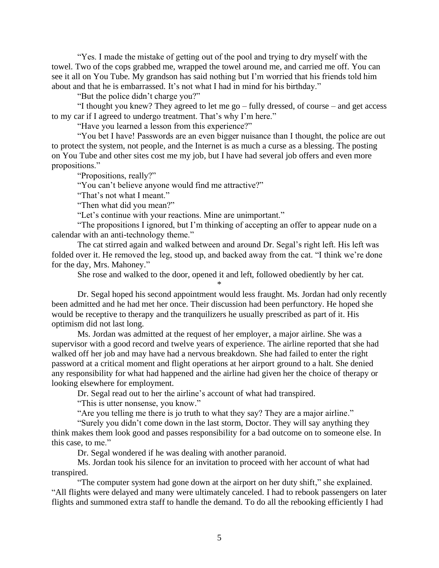"Yes. I made the mistake of getting out of the pool and trying to dry myself with the towel. Two of the cops grabbed me, wrapped the towel around me, and carried me off. You can see it all on You Tube. My grandson has said nothing but I'm worried that his friends told him about and that he is embarrassed. It's not what I had in mind for his birthday."

"But the police didn't charge you?"

"I thought you knew? They agreed to let me go – fully dressed, of course – and get access to my car if I agreed to undergo treatment. That's why I'm here."

"Have you learned a lesson from this experience?"

"You bet I have! Passwords are an even bigger nuisance than I thought, the police are out to protect the system, not people, and the Internet is as much a curse as a blessing. The posting on You Tube and other sites cost me my job, but I have had several job offers and even more propositions."

"Propositions, really?"

"You can't believe anyone would find me attractive?"

"That's not what I meant."

"Then what did you mean?"

"Let's continue with your reactions. Mine are unimportant."

"The propositions I ignored, but I'm thinking of accepting an offer to appear nude on a calendar with an anti-technology theme."

The cat stirred again and walked between and around Dr. Segal's right left. His left was folded over it. He removed the leg, stood up, and backed away from the cat. "I think we're done for the day, Mrs. Mahoney."

She rose and walked to the door, opened it and left, followed obediently by her cat. \*

Dr. Segal hoped his second appointment would less fraught. Ms. Jordan had only recently been admitted and he had met her once. Their discussion had been perfunctory. He hoped she would be receptive to therapy and the tranquilizers he usually prescribed as part of it. His optimism did not last long.

Ms. Jordan was admitted at the request of her employer, a major airline. She was a supervisor with a good record and twelve years of experience. The airline reported that she had walked off her job and may have had a nervous breakdown. She had failed to enter the right password at a critical moment and flight operations at her airport ground to a halt. She denied any responsibility for what had happened and the airline had given her the choice of therapy or looking elsewhere for employment.

Dr. Segal read out to her the airline's account of what had transpired.

"This is utter nonsense, you know."

"Are you telling me there is jo truth to what they say? They are a major airline."

"Surely you didn't come down in the last storm, Doctor. They will say anything they think makes them look good and passes responsibility for a bad outcome on to someone else. In this case, to me."

Dr. Segal wondered if he was dealing with another paranoid.

Ms. Jordan took his silence for an invitation to proceed with her account of what had transpired.

"The computer system had gone down at the airport on her duty shift," she explained. "All flights were delayed and many were ultimately canceled. I had to rebook passengers on later flights and summoned extra staff to handle the demand. To do all the rebooking efficiently I had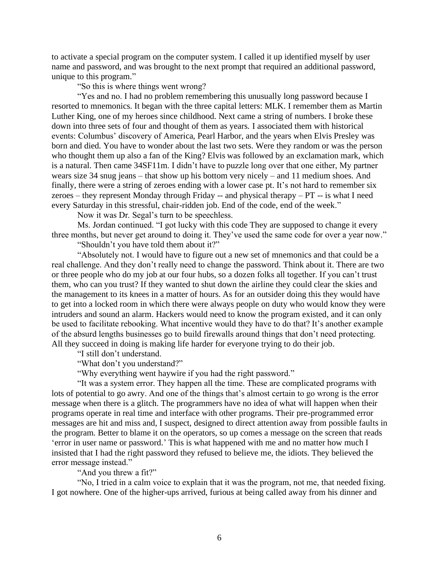to activate a special program on the computer system. I called it up identified myself by user name and password, and was brought to the next prompt that required an additional password, unique to this program."

"So this is where things went wrong?

"Yes and no. I had no problem remembering this unusually long password because I resorted to mnemonics. It began with the three capital letters: MLK. I remember them as Martin Luther King, one of my heroes since childhood. Next came a string of numbers. I broke these down into three sets of four and thought of them as years. I associated them with historical events: Columbus' discovery of America, Pearl Harbor, and the years when Elvis Presley was born and died. You have to wonder about the last two sets. Were they random or was the person who thought them up also a fan of the King? Elvis was followed by an exclamation mark, which is a natural. Then came 34SF11m. I didn't have to puzzle long over that one either, My partner wears size 34 snug jeans – that show up his bottom very nicely – and 11 medium shoes. And finally, there were a string of zeroes ending with a lower case pt. It's not hard to remember six zeroes – they represent Monday through Friday -- and physical therapy – PT -- is what I need every Saturday in this stressful, chair-ridden job. End of the code, end of the week."

Now it was Dr. Segal's turn to be speechless.

Ms. Jordan continued. "I got lucky with this code They are supposed to change it every three months, but never get around to doing it. They've used the same code for over a year now."

"Shouldn't you have told them about it?"

"Absolutely not. I would have to figure out a new set of mnemonics and that could be a real challenge. And they don't really need to change the password. Think about it. There are two or three people who do my job at our four hubs, so a dozen folks all together. If you can't trust them, who can you trust? If they wanted to shut down the airline they could clear the skies and the management to its knees in a matter of hours. As for an outsider doing this they would have to get into a locked room in which there were always people on duty who would know they were intruders and sound an alarm. Hackers would need to know the program existed, and it can only be used to facilitate rebooking. What incentive would they have to do that? It's another example of the absurd lengths businesses go to build firewalls around things that don't need protecting. All they succeed in doing is making life harder for everyone trying to do their job.

"I still don't understand.

"What don't you understand?"

"Why everything went haywire if you had the right password."

"It was a system error. They happen all the time. These are complicated programs with lots of potential to go awry. And one of the things that's almost certain to go wrong is the error message when there is a glitch. The programmers have no idea of what will happen when their programs operate in real time and interface with other programs. Their pre-programmed error messages are hit and miss and, I suspect, designed to direct attention away from possible faults in the program. Better to blame it on the operators, so up comes a message on the screen that reads 'error in user name or password.' This is what happened with me and no matter how much I insisted that I had the right password they refused to believe me, the idiots. They believed the error message instead."

"And you threw a fit?"

"No, I tried in a calm voice to explain that it was the program, not me, that needed fixing. I got nowhere. One of the higher-ups arrived, furious at being called away from his dinner and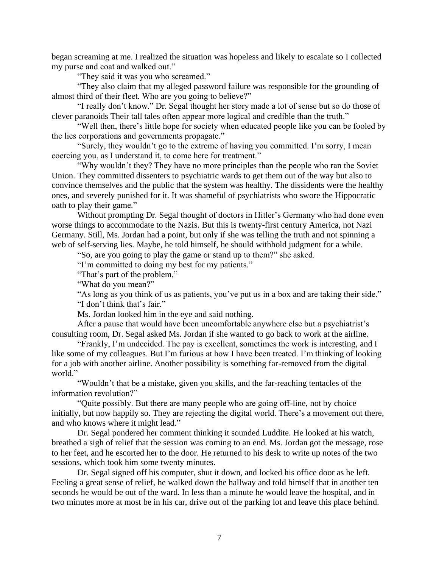began screaming at me. I realized the situation was hopeless and likely to escalate so I collected my purse and coat and walked out."

"They said it was you who screamed."

"They also claim that my alleged password failure was responsible for the grounding of almost third of their fleet. Who are you going to believe?"

"I really don't know." Dr. Segal thought her story made a lot of sense but so do those of clever paranoids Their tall tales often appear more logical and credible than the truth."

"Well then, there's little hope for society when educated people like you can be fooled by the lies corporations and governments propagate."

"Surely, they wouldn't go to the extreme of having you committed. I'm sorry, I mean coercing you, as I understand it, to come here for treatment."

"Why wouldn't they? They have no more principles than the people who ran the Soviet Union. They committed dissenters to psychiatric wards to get them out of the way but also to convince themselves and the public that the system was healthy. The dissidents were the healthy ones, and severely punished for it. It was shameful of psychiatrists who swore the Hippocratic oath to play their game."

Without prompting Dr. Segal thought of doctors in Hitler's Germany who had done even worse things to accommodate to the Nazis. But this is twenty-first century America, not Nazi Germany. Still, Ms. Jordan had a point, but only if she was telling the truth and not spinning a web of self-serving lies. Maybe, he told himself, he should withhold judgment for a while.

"So, are you going to play the game or stand up to them?" she asked.

"I'm committed to doing my best for my patients."

"That's part of the problem,"

"What do you mean?"

"As long as you think of us as patients, you've put us in a box and are taking their side." "I don't think that's fair."

Ms. Jordan looked him in the eye and said nothing.

After a pause that would have been uncomfortable anywhere else but a psychiatrist's consulting room, Dr. Segal asked Ms. Jordan if she wanted to go back to work at the airline.

"Frankly, I'm undecided. The pay is excellent, sometimes the work is interesting, and I like some of my colleagues. But I'm furious at how I have been treated. I'm thinking of looking for a job with another airline. Another possibility is something far-removed from the digital world."

"Wouldn't that be a mistake, given you skills, and the far-reaching tentacles of the information revolution?"

"Quite possibly. But there are many people who are going off-line, not by choice initially, but now happily so. They are rejecting the digital world. There's a movement out there, and who knows where it might lead."

Dr. Segal pondered her comment thinking it sounded Luddite. He looked at his watch, breathed a sigh of relief that the session was coming to an end. Ms. Jordan got the message, rose to her feet, and he escorted her to the door. He returned to his desk to write up notes of the two sessions, which took him some twenty minutes.

Dr. Segal signed off his computer, shut it down, and locked his office door as he left. Feeling a great sense of relief, he walked down the hallway and told himself that in another ten seconds he would be out of the ward. In less than a minute he would leave the hospital, and in two minutes more at most be in his car, drive out of the parking lot and leave this place behind.